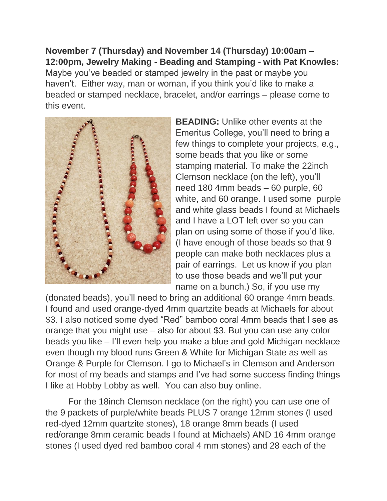**November 7 (Thursday) and November 14 (Thursday) 10:00am – 12:00pm, Jewelry Making - Beading and Stamping - with Pat Knowles:**  Maybe you've beaded or stamped jewelry in the past or maybe you haven't. Either way, man or woman, if you think you'd like to make a beaded or stamped necklace, bracelet, and/or earrings – please come to this event.



**BEADING:** Unlike other events at the Emeritus College, you'll need to bring a few things to complete your projects, e.g., some beads that you like or some stamping material. To make the 22inch Clemson necklace (on the left), you'll need 180 4mm beads – 60 purple, 60 white, and 60 orange. I used some purple and white glass beads I found at Michaels and I have a LOT left over so you can plan on using some of those if you'd like. (I have enough of those beads so that 9 people can make both necklaces plus a pair of earrings. Let us know if you plan to use those beads and we'll put your name on a bunch.) So, if you use my

(donated beads), you'll need to bring an additional 60 orange 4mm beads. I found and used orange-dyed 4mm quartzite beads at Michaels for about \$3. I also noticed some dyed "Red" bamboo coral 4mm beads that I see as orange that you might use – also for about \$3. But you can use any color beads you like – I'll even help you make a blue and gold Michigan necklace even though my blood runs Green & White for Michigan State as well as Orange & Purple for Clemson. I go to Michael's in Clemson and Anderson for most of my beads and stamps and I've had some success finding things I like at Hobby Lobby as well. You can also buy online.

For the 18inch Clemson necklace (on the right) you can use one of the 9 packets of purple/white beads PLUS 7 orange 12mm stones (I used red-dyed 12mm quartzite stones), 18 orange 8mm beads (I used red/orange 8mm ceramic beads I found at Michaels) AND 16 4mm orange stones (I used dyed red bamboo coral 4 mm stones) and 28 each of the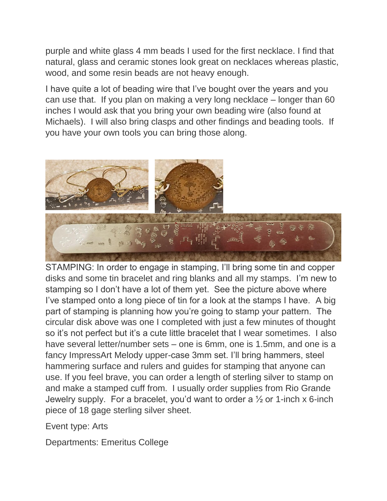purple and white glass 4 mm beads I used for the first necklace. I find that natural, glass and ceramic stones look great on necklaces whereas plastic, wood, and some resin beads are not heavy enough.

I have quite a lot of beading wire that I've bought over the years and you can use that. If you plan on making a very long necklace – longer than 60 inches I would ask that you bring your own beading wire (also found at Michaels). I will also bring clasps and other findings and beading tools. If you have your own tools you can bring those along.



STAMPING: In order to engage in stamping, I'll bring some tin and copper disks and some tin bracelet and ring blanks and all my stamps. I'm new to stamping so I don't have a lot of them yet. See the picture above where I've stamped onto a long piece of tin for a look at the stamps I have. A big part of stamping is planning how you're going to stamp your pattern. The circular disk above was one I completed with just a few minutes of thought so it's not perfect but it's a cute little bracelet that I wear sometimes. I also have several letter/number sets – one is 6mm, one is 1.5mm, and one is a fancy ImpressArt Melody upper-case 3mm set. I'll bring hammers, steel hammering surface and rulers and guides for stamping that anyone can use. If you feel brave, you can order a length of sterling silver to stamp on and make a stamped cuff from. I usually order supplies from Rio Grande Jewelry supply. For a bracelet, you'd want to order a  $\frac{1}{2}$  or 1-inch x 6-inch piece of 18 gage sterling silver sheet.

Event type: Arts

Departments: Emeritus College